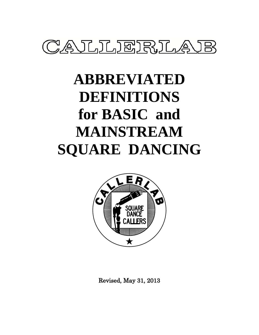

# **ABBREVIATED DEFINITIONS for BASIC and MAINSTREAM SQUARE DANCING**



Revised, May 31, 2013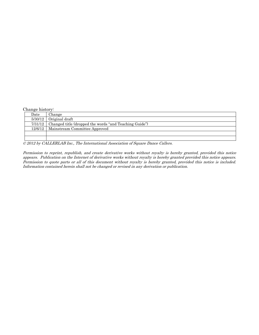Change history:

| Date | Change                                                           |
|------|------------------------------------------------------------------|
|      | $5/30/12$ Original draft                                         |
|      | 7/31/12   Changed title (dropped the words "and Teaching Guide") |
|      | 12/6/12   Mainstream Committee Approved                          |
|      |                                                                  |
|      |                                                                  |

© 2012 by CALLERLAB Inc., The International Association of Square Dance Callers.

Permission to reprint, republish, and create derivative works without royalty is hereby granted, provided this notice appears. Publication on the Internet of derivative works without royalty is hereby granted provided this notice appears. Permission to quote parts or all of this document without royalty is hereby granted, provided this notice is included. Information contained herein shall not be changed or revised in any derivation or publication.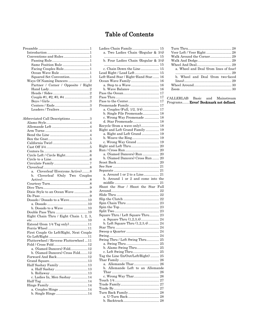| Conventions and Rules1                  |
|-----------------------------------------|
|                                         |
| Same Position Rule1                     |
| Facing Couples Rule1                    |
| Ocean Wave Rule 1                       |
| Squared Set Convention1                 |
| Ways Of Naming Dancers 2                |
| Partner / Corner / Opposite / Right     |
|                                         |
|                                         |
|                                         |
|                                         |
|                                         |
| Leaders / Trailers3                     |
|                                         |
| Abbreviated Call Descriptions3          |
|                                         |
|                                         |
|                                         |
|                                         |
|                                         |
|                                         |
|                                         |
|                                         |
|                                         |
|                                         |
|                                         |
|                                         |
| Cloverleaf (Everyone Active)8<br>a.     |
| Cloverleaf (Only Two Couples<br>b.      |
|                                         |
|                                         |
|                                         |
| Dixie Style to an Ocean Wave9           |
|                                         |
| Dosado / Dosado to a Wave10             |
| b. Dosado to a Wave 10                  |
| Double Pass Thru 10                     |
| Eight Chain Thru / Eight Chain 1, 2, 3, |
|                                         |
| Extend (from 1/4 Tag only)11            |
|                                         |
| First Couple Go Left/Right, Next Couple |
|                                         |
| Flutterwheel / Reverse Flutterwheel 11  |
|                                         |
| a. (Named Dancers) Fold12               |
| b. (Named Dancers) Cross Fold12         |
| Forward And Back12                      |
|                                         |
| Half Sashay Family13                    |
|                                         |
|                                         |
| c. Ladies In, Men Sashay14              |
|                                         |
|                                         |
| a. Couples Hinge 14                     |
| b. Single Hinge14                       |
|                                         |

| Ladies Chain Family 15<br>a. Two Ladies Chain (Regular & 3/4) | Τ<br>V |
|---------------------------------------------------------------|--------|
| b. Four Ladies Chain (Regular & 3/4)                          | V<br>V |
|                                                               | V      |
| c. Chain Down the Line 15                                     |        |
| Lead Right / Lead Left 15                                     |        |
|                                                               |        |
| Left-Hand Star / Right-Hand Star 16                           |        |
| Ocean Wave Family 16                                          |        |
| a. Step to a Wave 16                                          | V      |
| b. Wave Balance  16                                           | Ζ      |
|                                                               |        |
|                                                               |        |
|                                                               | CAI    |
|                                                               | Pro    |
| Promenade Family 17                                           |        |
| a. Couples (Full, 1/2, 3/4) 17                                |        |
| b. Single File Promenade 18                                   |        |
| c. Wrong Way Promenade  18                                    |        |
| d. Star Promenade 18                                          |        |
|                                                               |        |
| Recycle (from a wave only) 18                                 |        |
| Right and Left Grand Family 19                                |        |
| a. Right and Left Grand  19                                   |        |
|                                                               |        |
| c. Wrong Way Grand  19                                        |        |
|                                                               |        |
|                                                               |        |
|                                                               |        |
| a. (Named Dancers) Run  20                                    |        |
| b. (Named Dancers) Cross Run  20                              |        |
|                                                               |        |
|                                                               |        |
|                                                               |        |
|                                                               |        |
| a. Around 1 or 2 to a Line 21                                 |        |
| b. Around 1 or 2 and come into the                            |        |
|                                                               |        |
| Shoot the Star / Shoot the Star Full                          |        |
|                                                               |        |
|                                                               |        |
|                                                               |        |
|                                                               |        |
|                                                               |        |
|                                                               |        |
|                                                               |        |
| Square Thru / Left Square Thru 23                             |        |
| a. Square Thru (1,2,3,4) 24                                   |        |
| b. Left Square Thru (1,2,3,4) 24                              |        |
|                                                               |        |
|                                                               |        |
|                                                               |        |
|                                                               |        |
| Swing Thru / Left Swing Thru 25                               |        |
|                                                               |        |
| b. Alamo Swing Thru 25                                        |        |
|                                                               |        |
| c. Left Swing Thru 25                                         |        |
| Tag the Line (In/Out/Left/Right)  25                          |        |
|                                                               |        |
| Allemande Thar 26<br>a.                                       |        |
| b. Allemande Left to an Allemande                             |        |
|                                                               |        |
| c. Wrong Way Thar 26                                          |        |
|                                                               |        |
|                                                               |        |
|                                                               |        |
|                                                               |        |
| Turn Back Family 28                                           |        |
| a. U-Turn Back  28                                            |        |
|                                                               |        |
|                                                               |        |

| Veer Left / Veer Right  28             |
|----------------------------------------|
| Walk Around the Corner 29              |
|                                        |
|                                        |
| a. Wheel and Deal (from lines of four) |
|                                        |
| b. Wheel and Deal (from two-faced      |
|                                        |
|                                        |
|                                        |
|                                        |

CALLERLAB Basic and Mainstream Programs....... Error! Bookmark not defined.

# Table of Contents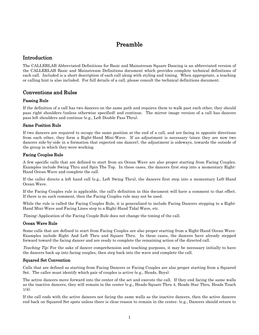# Preamble

# <span id="page-3-1"></span><span id="page-3-0"></span>Introduction

The CALLERLAB Abbreviated Definitions for Basic and Mainstream Square Dancing is an abbreviated version of the CALLERLAB Basic and Mainstream Definitions document which provides complete technical definitions of each call. Included is a short description of each call along with styling and timing. When appropriate, a teaching or calling hint is also included. For full details of a call, please consult the technical definitions document.

## <span id="page-3-2"></span>Conventions and Rules

## <span id="page-3-3"></span>Passing Rule

If the definition of a call has two dancers on the same path and requires them to walk past each other, they should pass right shoulders (unless otherwise specified) and continue. The mirror image version of a call has dancers pass left shoulders and continue (e.g., Left Double Pass Thru).

## <span id="page-3-4"></span>Same Position Rule

If two dancers are required to occupy the same position at the end of a call, and are facing in opposite directions from each other, they form a Right-Hand Mini-Wave. If an adjustment is necessary (since they are now two dancers side-by-side in a formation that expected one dancer), the adjustment is sideways, towards the outside of the group in which they were working.

## <span id="page-3-5"></span>Facing Couples Rule

A few specific calls that are defined to start from an Ocean Wave are also proper starting from Facing Couples. Examples include Swing Thru and Spin The Top. In these cases, the dancers first step into a momentary Right-Hand Ocean Wave and complete the call.

If the caller directs a left hand call (e.g., Left Swing Thru), the dancers first step into a momentary Left-Hand Ocean Wave.

If the Facing Couples rule is applicable, the call's definition in this document will have a comment to that effect. If there is no such comment, then the Facing Couples rule may not be used.

While the rule is called the Facing Couples Rule, it is generalized to include Facing Dancers stepping to a Right-Hand Mini-Wave and Facing Lines step to a Right-Hand Tidal Wave, etc.

Timing: Application of the Facing Couple Rule does not change the timing of the call.

#### <span id="page-3-6"></span>Ocean Wave Rule

Some calls that are defined to start from Facing Couples are also proper starting from a Right-Hand Ocean Wave. Examples include Right And Left Thru and Square Thru. In these cases, the dancers have already stepped forward toward the facing dancer and are ready to complete the remaining action of the directed call.

Teaching Tip: For the sake of dancer comprehension and teaching purposes, it may be necessary initially to have the dancers back up into facing couples, then step back into the wave and complete the call.

#### <span id="page-3-7"></span>Squared Set Convention

Calls that are defined as starting from Facing Dancers or Facing Couples are also proper starting from a Squared Set. The caller must identify which pair of couples is active (e.g., Heads, Boys).

The active dancers move forward into the center of the set and execute the call. If they end facing the same walls as the inactive dancers, they will remain in the center (e.g., Heads Square Thru 4, Heads Star Thru, Heads Touch 1/4).

If the call ends with the active dancers not facing the same walls as the inactive dancers, then the active dancers end back on Squared Set spots unless there is clear reason to remain in the center. (e.g., Dancers should return to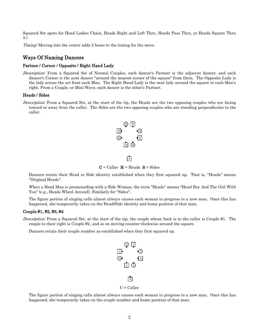Squared Set spots for Head Ladies Chain, Heads Right and Left Thru, Heads Pass Thru, or Heads Square Thru 3.)

<span id="page-4-0"></span>Timing: Moving into the center adds 2 beats to the timing for the move.

## Ways Of Naming Dancers

#### <span id="page-4-1"></span>Partner / Corner / Opposite / Right Hand Lady

Description: From a Squared Set of Normal Couples, each dancer's Partner is the adjacent dancer, and each dancer's Corner is the next dancer "around the nearest corner of the square" from them. The Opposite Lady is the lady across the set from each Man. The Right Hand Lady is the next lady around the square to each Man's right. From a Couple, or Mini Wave, each dancer is the other's Partner.

#### <span id="page-4-2"></span>Heads / Sides

Description: From a Squared Set, at the start of the tip, the Heads are the two opposing couples who are facing toward or away from the caller. The Sides are the two opposing couples who are standing perpendicular to the caller.



 $C =$  Caller  $H =$  Heads  $S =$  Sides

Dancers retain their Head or Side identity established when they first squared up. That is, "Heads" means "Original Heads".

When a Head Man is promenading with a Side Woman, the term "Heads" means "Head Boy And The Girl With You" (e.g., Heads Wheel Around). Similarly for "Sides".

The figure portion of singing calls almost always causes each woman to progress to a new man. Once this has happened, she temporarily takes on the Head/Side identity and home position of that man.

#### <span id="page-4-3"></span>Couple #1, #2, #3, #4

Description: From a Squared Set, at the start of the tip, the couple whose back is to the caller is Couple #1. The couple to their right is Couple #2, and so on moving counter-clockwise around the square.

Dancers retain their couple number as established when they first squared up.



The figure portion of singing calls almost always causes each woman to progress to a new man. Once this has happened, she temporarily takes on the couple number and home position of that man.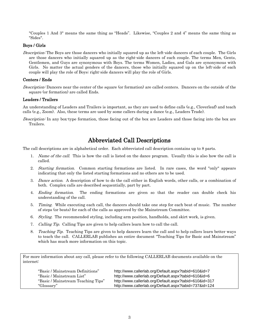"Couples 1 And 3" means the same thing as "Heads". Likewise, "Couples 2 and 4" means the same thing as "Sides".

## <span id="page-5-0"></span>Boys / Girls

Description: The Boys are those dancers who initially squared up as the left-side dancers of each couple. The Girls are those dancers who initially squared up as the right-side dancers of each couple. The terms Men, Gents, Gentlemen, and Guys are synonymous with Boys. The terms Women, Ladies, and Gals are synonymous with Girls. No matter the actual genders of the dancers, those who initially squared up on the left-side of each couple will play the role of Boys; right-side dancers will play the role of Girls.

#### <span id="page-5-1"></span>Centers / Ends

Description: Dancers near the center of the square (or formation) are called centers. Dancers on the outside of the square (or formation) are called Ends.

#### <span id="page-5-2"></span>Leaders / Trailers

An understanding of Leaders and Trailers is important, as they are used to define calls (e.g., Cloverleaf) and teach calls (e.g., Zoom). Also, these terms are used by some callers during a dance (e.g., Leaders Trade).

<span id="page-5-3"></span>Description: In any box-type formation, those facing out of the box are Leaders and those facing into the box are Trailers.

# Abbreviated Call Descriptions

The call descriptions are in alphabetical order. Each abbreviated call description contains up to 8 parts.

- 1. Name of the call. This is how the call is listed on the dance program. Usually this is also how the call is called.
- 2. *Starting formation.* Common starting formations are listed. In rare cases, the word "only" appears indicating that only the listed starting formations and no others are to be used.
- 3. Dance action. A description of how to do the call either in English words, other calls, or a combination of both. Complex calls are described sequentially, part by part.
- 4. Ending formation. The ending formations are given so that the reader can double check his understanding of the call.
- 5. Timing. While executing each call, the dancers should take one step for each beat of music. The number of steps (or beats) for each of the calls as approved by the Mainstream Committee.
- 6. Styling. The recommended styling, including arm position, handholds, and skirt work, is given.
- 7. Calling Tip. Calling Tips are given to help callers learn how to call the call.
- 8. Teaching Tip. Teaching Tips are given to help dancers learn the call and to help callers learn better ways to teach the call. CALLERLAB publishes an entire document "Teaching Tips for Basic and Mainstream" which has much more information on this topic.

For more information about any call, please refer to the following CALLERLAB documents available on the internet:

| "Basic / Mainstream Definitions"   | http://www.callerlab.org/Default.aspx?tabid=610&id=7   |
|------------------------------------|--------------------------------------------------------|
| "Basic / Mainstream List"          | http://www.callerlab.org/Default.aspx?tabid=610&id=6   |
| "Basic / Mainstream Teaching Tips" | http://www.callerlab.org/Default.aspx?tabid=610&id=317 |
| "Glossary"                         | http://www.callerlab.org/Default.aspx?tabid=737&id=124 |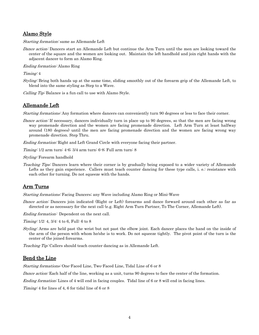## <span id="page-6-0"></span>Alamo Style

Starting formation: same as Allemande Left

Dance action: Dancers start an Allemande Left but continue the Arm Turn until the men are looking toward the center of the square and the women are looking out. Maintain the left handhold and join right hands with the adjacent dancer to form an Alamo Ring.

Ending formation: Alamo Ring

Timing: 4

Styling: Bring both hands up at the same time, sliding smoothly out of the forearm grip of the Allemande Left, to blend into the same styling as Step to a Wave.

<span id="page-6-1"></span>Calling Tip: Balance is a fun call to use with Alamo Style.

## Allemande Left

Starting formations: Any formation where dancers can conveniently turn 90 degrees or less to face their corner.

Dance action: If necessary, dancers individually turn in place up to 90 degrees, so that the men are facing wrong way promenade direction and the women are facing promenade direction. Left Arm Turn at least halfway around (180 degrees) until the men are facing promenade direction and the women are facing wrong way promenade direction. Step Thru.

*Ending formation:* Right and Left Grand Circle with everyone facing their partner.

Timing: 1/2 arm turn: 4-6; 3/4 arm turn: 6-8; Full arm turn: 8

Styling: Forearm handhold

Teaching Tips: Dancers learn where their corner is by gradually being exposed to a wider variety of Allemande Lefts as they gain experience. Callers must teach counter dancing for these type calls, i. e.: resistance with each other for turning. Do not squeeze with the hands.

# <span id="page-6-2"></span>Arm Turns

Starting formations: Facing Dancers; any Wave including Alamo Ring or Mini-Wave

Dance action: Dancers join indicated (Right or Left) forearms and dance forward around each other as far as directed or as necessary for the next call (e.g. Right Arm Turn Partner, To The Corner, Allemande Left).

Ending formation: Dependent on the next call.

Timing: 1/2: 4, 3/4: 4 to 6, Full: 6 to 8

Styling: Arms are held past the wrist but not past the elbow joint. Each dancer places the hand on the inside of the arm of the person with whom he/she is to work. Do not squeeze tightly. The pivot point of the turn is the center of the joined forearms.

<span id="page-6-3"></span>Teaching Tip: Callers should teach counter dancing as in Allemande Left.

## Bend the Line

Starting formations: One-Faced Line, Two-Faced Line, Tidal Line of 6 or 8

Dance action: Each half of the line, working as a unit, turns 90 degrees to face the center of the formation.

Ending formation: Lines of 4 will end in facing couples. Tidal line of 6 or 8 will end in facing lines.

Timing: 4 for lines of 4, 6 for tidal line of 6 or 8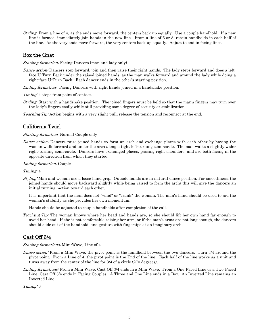Styling: From a line of 4, as the ends move forward, the centers back up equally. Use a couple handhold. If a new line is formed, immediately join hands in the new line. From a line of 6 or 8, retain handholds in each half of the line. As the very ends move forward, the very centers back up equally. Adjust to end in facing lines.

## <span id="page-7-0"></span>Box the Gnat

Starting formation: Facing Dancers (man and lady only).

- Dance action: Dancers step forward, join and then raise their right hands. The lady steps forward and does a leftface U-Turn Back under the raised joined hands, as the man walks forward and around the lady while doing a right-face U-Turn Back. Each dancer ends in the other's starting position.
- Ending formation: Facing Dancers with right hands joined in a handshake position.

Timing: 4 steps from point of contact.

Styling: Start with a handshake position. The joined fingers must be held so that the man's fingers may turn over the lady's fingers easily while still providing some degree of security or stabilization.

<span id="page-7-1"></span>Teaching Tip: Action begins with a very slight pull, release the tension and reconnect at the end.

## California Twirl

#### Starting formation: Normal Couple only

Dance action: Dancers raise joined hands to form an arch and exchange places with each other by having the woman walk forward and under the arch along a tight left-turning semi-circle. The man walks a slightly wider right-turning semi-circle. Dancers have exchanged places, passing right shoulders, and are both facing in the opposite direction from which they started.

#### Ending formation: Couple

#### Timing: 4

Styling: Man and woman use a loose hand grip. Outside hands are in natural dance position. For smoothness, the joined hands should move backward slightly while being raised to form the arch; this will give the dancers an initial turning motion toward each other.

It is important that the man does not "wind" or "crank" the woman. The man's hand should be used to aid the woman's stability as she provides her own momentum.

Hands should be adjusted to couple handholds after completion of the call.

*Teaching Tip:* The woman knows where her head and hands are, so she should lift her own hand far enough to avoid her head. If she is not comfortable raising her arm, or if the man's arms are not long enough, the dancers should slide out of the handhold, and gesture with fingertips at an imaginary arch.

## <span id="page-7-2"></span>Cast Off 3/4

Starting formations: Mini-Wave, Line of 4.

- Dance action: From a Mini-Wave, the pivot point is the handhold between the two dancers. Turn 3/4 around the pivot point. From a Line of 4, the pivot point is the End of the line. Each half of the line works as a unit and turns away from the center of the line for 3/4 of a circle (270 degrees).
- Ending formations: From a Mini-Wave, Cast Off 3/4 ends in a Mini-Wave. From a One-Faced Line or a Two-Faced Line, Cast Off 3/4 ends in Facing Couples. A Three and One Line ends in a Box. An Inverted Line remains an Inverted Line.

Timing: 6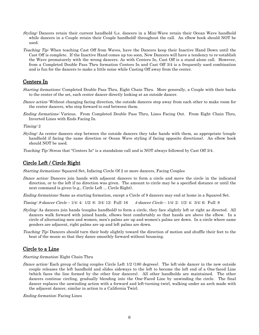- Styling: Dancers retain their current handhold (i.e. dancers in a Mini-Wave retain their Ocean Wave handhold while dancers in a Couple retain their Couple handhold) throughout the call. An elbow hook should NOT be used.
- Teaching Tip: When teaching Cast Off from Waves, have the Dancers keep their Inactive Hand Down until the Cast Off is complete. If the Inactive Hand comes up too soon, New Dancers will have a tendency to re-establish the Wave prematurely with the wrong dancers. As with Centers In, Cast Off is a stand alone call. However, from a Completed Double Pass Thru formation Centers In and Cast Off 3/4 is a frequently used combination and is fun for the dancers to make a little noise while Casting Off away from the center.

## <span id="page-8-0"></span>Centers In

- Starting formations: Completed Double Pass Thru, Eight Chain Thru. More generally, a Couple with their backs to the center of the set, each center dancer directly looking at an outside dancer.
- Dance action: Without changing facing direction, the outside dancers step away from each other to make room for the center dancers, who step forward to end between them.
- Ending formations: Various. From Completed Double Pass Thru, Lines Facing Out. From Eight Chain Thru, Inverted Lines with Ends Facing In.

Timing: 2

Styling: As center dancers step between the outside dancers they take hands with them, as appropriate (couple handhold if facing the same direction or Ocean Wave styling if facing opposite directions). An elbow hook should NOT be used.

<span id="page-8-1"></span>Teaching Tip: Stress that "Centers In" is a standalone call and is NOT always followed by Cast Off 3/4.

## Circle Left / Circle Right

Starting formations: Squared Set, Infacing Circle Of 2 or more dancers, Facing Couples

Dance action: Dancers join hands with adjacent dancers to form a circle and move the circle in the indicated direction, or to the left if no direction was given. The amount to circle may be a specified distance or until the next command is given (e.g., Circle Left ... Circle Right).

Ending formations: Same as starting formation, except a Circle of 8 dancers may end at home in a Squared Set.

Timing: 8-dancer Circle – 1/4: 4; 1/2: 8; 3/4: 12; Full: 16 4-dancer Circle – 1/4: 2; 1/2: 4; 3/4: 6; Full: 8

- Styling: As dancers join hands (couples handhold) to form a circle, they face slightly left or right as directed. All dancers walk forward with joined hands, elbows bent comfortably so that hands are above the elbow. In a circle of alternating men and women, men's palms are up and women's palms are down. In a circle where same genders are adjacent, right palms are up and left palms are down.
- Teaching Tip: Dancers should turn their body slightly toward the direction of motion and shuffle their feet to the beat of the music so that they dance smoothly forward without bouncing.

## <span id="page-8-2"></span>Circle to a Line

Starting formation: Eight Chain Thru

Dance action: Each group of facing couples Circle Left 1/2 (180 degrees). The left-side dancer in the new outside couple releases the left handhold and slides sideways to the left to become the left end of a One-faced Line (which faces the line formed by the other four dancers). All other handholds are maintained. The other dancers continue circling, gradually blending into the One-Faced Line by unwinding the circle. The final dancer replaces the unwinding action with a forward and left-turning twirl, walking under an arch made with the adjacent dancer, similar in action to a California Twirl.

Ending formation: Facing Lines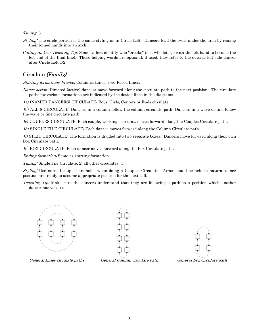Timing: 8

- Styling: The circle portion is the same styling as in Circle Left. Dancers lead the twirl under the arch by raising their joined hands into an arch.
- *Calling and/or Teaching Tip:* Some callers identify who "breaks" (i.e., who lets go with the left hand to become the left end of the final line). These helping words are optional; if used, they refer to the outside left-side dancer after Circle Left 1/2.

# <span id="page-9-0"></span>Circulate (Family)

Starting formations: Waves, Columns, Lines, Two-Faced Lines.

Dance action: Directed (active) dancers move forward along the circulate path to the next position. The circulate paths for various formations are indicated by the dotted lines in the diagrams.

(a) (NAMED DANCERS) CIRCULATE: Boys, Girls, Centers or Ends circulate.

(b) ALL 8 CIRCULATE: Dancers in a column follow the column circulate path. Dancers in a wave or line follow the wave or line circulate path.

(c) COUPLES CIRCULATE: Each couple, working as a unit, moves forward along the Couples Circulate path.

(d) SINGLE FILE CIRCULATE: Each dancer moves forward along the Column Circulate path.

(f) SPLIT CIRCULATE: The formation is divided into two separate boxes. Dancers move forward along their own Box Circulate path.

(e) BOX CIRCULATE: Each dancer moves forward along the Box Circulate path.

Ending formation: Same as starting formation.

Timing: Single File Circulate, 2; all other circulates, 4

Styling: Use normal couple handholds when doing a Couples Circulate. Arms should be held in natural dance position and ready to assume appropriate position for the next call.

Teaching Tip: Make sure the dancers understand that they are following a path to a position which another dancer has vacated.







General Lines circulate paths General Column circulate path General Box circulate path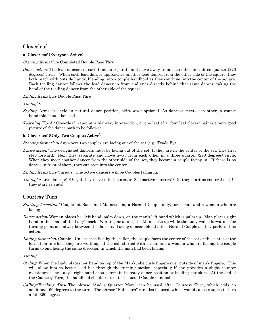## <span id="page-10-0"></span>**Cloverleaf**

## <span id="page-10-1"></span>a. Cloverleaf (Everyone Active)

#### Starting formation: Completed Double Pass Thru

*Dance action:* The lead dancers in each tandem separate and move away from each other in a three quarter (270 degrees) circle. When each lead dancer approaches another lead dancer from the other side of the square, they both reach with outside hands, blending into a couple handhold as they continue into the center of the square. Each trailing dancer follows the lead dancer in front and ends directly behind that same dancer, taking the hand of the trailing dancer from the other side of the square.

#### Ending formation: Double Pass Thru

Timing: 8

- Styling: Arms are held in natural dance position, skirt work optional. As dancers meet each other, a couple handhold should be used.
- Teaching Tip: A "Cloverleaf" ramp at a highway intersection, or one leaf of a "four-leaf clover" paints a very good picture of the dance path to be followed.

## <span id="page-10-2"></span>b. Cloverleaf (Only Two Couples Active)

Starting formation: Anywhere two couples are facing out of the set (e.g., Trade By)

Dance action: The designated dancers must be facing out of the set. If they are in the center of the set, they first step forward. Next they separate and move away from each other in a three quarter (270 degrees) circle. When they meet another dancer from the other side of the set, they become a couple facing in. If there is no dancer in front of them, they can step into the center.

Ending formation: Various. The active dancers will be Couples facing in.

Timing: Active dancers: 6 (or, if they move into the center, 8); Inactive dancers: 0 (if they start as centers) or 2 (if they start as ends).

## <span id="page-10-3"></span>Courtesy Turn

Starting formation: Couple (at Basic and Mainstream, a Normal Couple only), or a man and a woman who are facing

- Dance action: Woman places her left hand, palm down, on the man's left hand which is palm up. Man places right hand in the small of the Lady's back. Working as a unit, the Man backs up while the Lady walks forward. The turning point is midway between the dancers. Facing dancers blend into a Normal Couple as they perform this action.
- Ending formation: Couple. Unless specified by the caller, the couple faces the center of the set or the center of the formation in which they are working. If the call started with a man and a woman who are facing, the couple turns to end facing the same direction in which the man had been facing.

Timing: 4

- Styling: When the Lady places her hand on top of the Man's, she curls fingers over outside of man's fingers. This will allow him to better lead her through the turning motion, especially if she provides a slight counter resistance. The Lady's right hand should remain in ready dance position or holding her skirt. At the end of the Courtesy Turn, the handhold should return to the usual Couple handhold.
- Calling/Teaching Tips: The phrase "And a Quarter More" can be used after Courtesy Turn, which adds an additional 90 degrees to the turn. The phrase "Full Turn" can also be used, which would cause couples to turn a full 360 degrees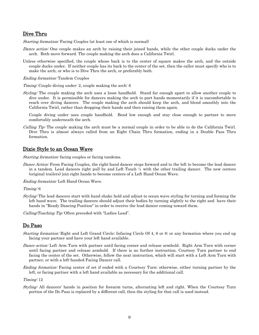## <span id="page-11-0"></span>Dive Thru

Starting formation: Facing Couples (at least one of which is normal)

- Dance action: One couple makes an arch by raising their joined hands, while the other couple ducks under the arch. Both move forward. The couple making the arch does a California Twirl.
- Unless otherwise specified, the couple whose back is to the center of square makes the arch, and the outside couple ducks under. If neither couple has its back to the center of the set, then the caller must specify who is to make the arch, or who is to Dive Thru the arch, or preferably both.

Ending formation: Tandem Couples

Timing: Couple diving under: 2, couple making the arch: 6

Styling: The couple making the arch uses a loose handhold. Stand far enough apart to allow another couple to dive under. It is permissible for dancers making the arch to part hands momentarily if it is uncomfortable to reach over diving dancers. The couple making the arch should keep the arch, and blend smoothly into the California Twirl, rather than dropping their hands and then raising them again.

Couple diving under uses couple handhold. Bend low enough and stay close enough to partner to move comfortably underneath the arch.

Calling Tip: The couple making the arch must be a normal couple in order to be able to do the California Twirl. Dive Thru is almost always called from an Eight Chain Thru formation, ending in a Double Pass Thru formation.

## <span id="page-11-1"></span>Dixie Style to an Ocean Wave

Starting formation: facing couples or facing tandems.

Dance Action: From Facing Couples, the right-hand dancer steps forward and to the left to become the lead dancer in a tandem. Lead dancers right pull by and Left Touch ¼ with the other trailing dancer. The new centers (original trailers) join right hands to become centers of a Left Hand Ocean Wave.

Ending formation: Left Hand Ocean Wave.

Timing: 6

Styling: The lead dancers start with hand shake hold and adjust to ocean wave styling for turning and forming the left hand wave. The trailing dancers should adjust their bodies by turning slightly to the right and have their hands in "Ready Dancing Position" in order to receive the lead dancer coming toward them.

<span id="page-11-2"></span>Calling/Teaching Tip: Often preceded with "Ladies Lead".

## Do Paso

- Starting formation: Right and Left Grand Circle; Infacing Circle Of 4, 6 or 8; or any formation where you end up facing your partner and have your left hand available.
- Dance action: Left Arm Turn with partner until facing corner and release armhold. Right Arm Turn with corner until facing partner and release armhold. If there is no further instruction, Courtesy Turn partner to end facing the center of the set. Otherwise, follow the next instruction, which will start with a Left Arm Turn with partner, or with a left-handed Facing Dancer call.
- Ending formation: Facing center of set if ended with a Courtesy Turn; otherwise, either turning partner by the left, or facing partner with a left hand available as necessary for the additional call.

Timing: 12

Styling: All dancers' hands in position for forearm turns, alternating left and right. When the Courtesy Turn portion of the Do Paso is replaced by a different call, then the styling for that call is used instead.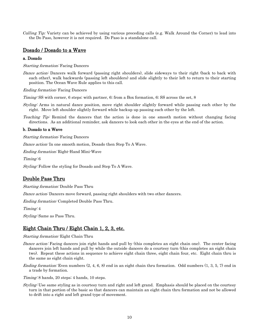*Calling Tip:* Variety can be achieved by using various preceding calls (e.g. Walk Around the Corner) to lead into the Do Paso, however it is not required. Do Paso is a standalone call.

## <span id="page-12-0"></span>Dosado / Dosado to a Wave

#### <span id="page-12-1"></span>a. Dosado

Starting formation: Facing Dancers

Dance action: Dancers walk forward (passing right shoulders), slide sideways to their right (back to back with each other), walk backwards (passing left shoulders) and slide slightly to their left to return to their starting position. The Ocean Wave Rule applies to this call.

Ending formation: Facing Dancers

Timing: SS with corner, 6 steps; with partner, 6; from a Box formation, 6; SS across the set, 8

Styling: Arms in natural dance position, move right shoulder slightly forward while passing each other by the right. Move left shoulder slightly forward while backup up passing each other by the left.

Teaching Tip: Remind the dancers that the action is done in one smooth motion without changing facing directions. As an additional reminder, ask dancers to look each other in the eyes at the end of the action.

#### <span id="page-12-2"></span>b. Dosado to a Wave

Starting formation: Facing Dancers

Dance action: In one smooth motion, Dosado then Step To A Wave.

Ending formation: Right-Hand Mini-Wave

Timing: 6

<span id="page-12-3"></span>Styling: Follow the styling for Dosado and Step To A Wave.

## Double Pass Thru

Starting formation: Double Pass Thru

Dance action: Dancers move forward, passing right shoulders with two other dancers.

Ending formation: Completed Double Pass Thru.

Timing: 4

<span id="page-12-4"></span>Styling: Same as Pass Thru.

## Eight Chain Thru / Eight Chain 1, 2, 3, etc.

#### Starting formation: Eight Chain Thru

- Dance action: Facing dancers join right hands and pull by (this completes an eight chain one). The center facing dancers join left hands and pull by while the outside dancers do a courtesy turn (this completes an eight chain two). Repeat these actions in sequence to achieve eight chain three, eight chain four, etc. Eight chain thru is the same as eight chain eight.
- *Ending formation:* Even numbers  $(2, 4, 6, 8)$  end in an eight chain thru formation. Odd numbers  $(1, 3, 5, 7)$  end in a trade by formation.

Timing: 8 hands, 20 steps; 4 hands, 10 steps.

Styling: Use same styling as in courtesy turn and right and left grand. Emphasis should be placed on the courtesy turn in that portion of the basic so that dancers can maintain an eight chain thru formation and not be allowed to drift into a right and left grand type of movement.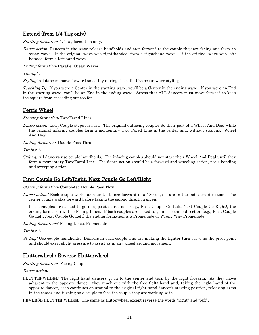# <span id="page-13-0"></span>Extend (from 1/4 Tag only)

Starting formation: 1/4 tag formation only.

Dance action: Dancers in the wave release handholds and step forward to the couple they are facing and form an ocean wave. If the original wave was right-handed, form a right-hand wave. If the original wave was lefthanded, form a left-hand wave.

Ending formation: Parallel Ocean Waves

Timing: 2

Styling: All dancers move forward smoothly during the call. Use ocean wave styling.

Teaching Tip: If you were a Center in the starting wave, you'll be a Center in the ending wave. If you were an End in the starting wave, you'll be an End in the ending wave. Stress that ALL dancers must move forward to keep the square from spreading out too far.

## <span id="page-13-1"></span>Ferris Wheel

Starting formation: Two-Faced Lines

Dance action: Each Couple steps forward. The original outfacing couples do their part of a Wheel And Deal while the original infacing couples form a momentary Two-Faced Line in the center and, without stopping, Wheel And Deal.

Ending formation: Double Pass Thru

Timing: 6

*Styling:* All dancers use couple handholds. The infacing couples should not start their Wheel And Deal until they form a momentary Two-Faced Line. The dance action should be a forward and wheeling action, not a bending and sweeping action.

# <span id="page-13-2"></span>First Couple Go Left/Right, Next Couple Go Left/Right

Starting formation: Completed Double Pass Thru

Dance action: Each couple works as a unit. Dance forward in a 180 degree arc in the indicated direction. The center couple walks forward before taking the second direction given.

If the couples are asked to go in opposite directions (e.g., First Couple Go Left, Next Couple Go Right), the ending formation will be Facing Lines. If both couples are asked to go in the same direction (e.g., First Couple Go Left, Next Couple Go Left) the ending formation is a Promenade or Wrong Way Promenade.

Ending formations: Facing Lines, Promenade

Timing: 6

Styling: Use couple handholds. Dancers in each couple who are making the tighter turn serve as the pivot point and should exert slight pressure to assist as in any wheel around movement.

## <span id="page-13-3"></span>Flutterwheel / Reverse Flutterwheel

Starting formation: Facing Couples

Dance action:

FLUTTERWHEEL: The right-hand dancers go in to the center and turn by the right forearm. As they move adjacent to the opposite dancer, they reach out with the free (left) hand and, taking the right hand of the opposite dancer, each continues on around to the original right hand dancer's starting position, releasing arms in the center and turning as a couple to face the couple they are working with.

REVERSE FLUTTERWHEEL: The same as flutterwheel except reverse the words "right" and "left".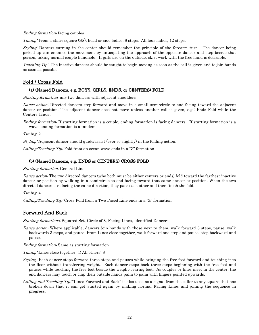Ending formation: facing couples

Timing: From a static square (SS), head or side ladies, 8 steps. All four ladies, 12 steps.

Styling: Dancers turning in the center should remember the principle of the forearm turn. The dancer being picked up can enhance the movement by anticipating the approach of the opposite dancer and step beside that person, taking normal couple handhold. If girls are on the outside, skirt work with the free hand is desirable.

Teaching Tip: The inactive dancers should be taught to begin moving as soon as the call is given and to join hands as soon as possible.

# <span id="page-14-0"></span>Fold / Cross Fold

## (a) (Named Dancers, e.g. BOYS, GIRLS, ENDS, or CENTERS) FOLD

Starting formation: any two dancers with adjacent shoulders

Dance action: Directed dancers step forward and move in a small semi-circle to end facing toward the adjacent dancer or position. The adjacent dancer does not move unless another call is given, e.g.: Ends Fold while the Centers Trade.

Ending formation: If starting formation is a couple, ending formation is facing dancers. If starting formation is a wave, ending formation is a tandem.

Timing: 2

Styling: Adjacent dancer should guide/assist (ever so slightly) in the folding action.

Calling/Teaching Tip: Fold from an ocean wave ends in a "Z" formation.

## (b) (Named Dancers, e.g. ENDS or CENTERS) CROSS FOLD

Starting formation: General Line.

Dance action: The two directed dancers (who both must be either centers or ends) fold toward the farthest inactive dancer or position by walking in a semi-circle to end facing toward that same dancer or position. When the two directed dancers are facing the same direction, they pass each other and then finish the fold.

Timing: 4

<span id="page-14-1"></span>Calling/Teaching Tip: Cross Fold from a Two Faced Line ends in a "Z" formation.

## Forward And Back

Starting formations: Squared Set, Circle of 8, Facing Lines, Identified Dancers

Dance action: Where applicable, dancers join hands with those next to them, walk forward 3 steps, pause, walk backwards 3 steps, and pause. From Lines close together, walk forward one step and pause, step backward and pause.

Ending formation: Same as starting formation

Timing: Lines close together: 4; All others: 8

- *Styling:* Each dancer steps forward three steps and pauses while bringing the free foot forward and touching it to the floor without transferring weight. Each dancer steps back three steps beginning with the free foot and pauses while touching the free foot beside the weight-bearing foot. As couples or lines meet in the center, the end dancers may touch or clap their outside hands palm to palm with fingers pointed upwards.
- Calling and Teaching Tip: "Lines Forward and Back" is also used as a signal from the caller to any square that has broken down that it can get started again by making normal Facing Lines and joining the sequence in progress.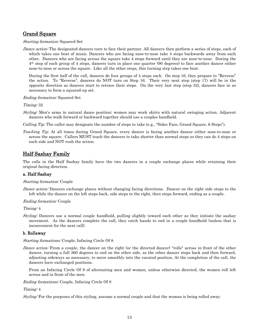# <span id="page-15-0"></span>Grand Square

Starting formation: Squared Set

Dance action: The designated dancers turn to face their partner. All dancers then perform a series of steps, each of which takes one beat of music. Dancers who are facing nose-to-nose take 4 steps backwards away from each other. Dancers who are facing across the square take 4 steps forward until they are nose-to-nose. During the 4th step of each group of 4 steps, dancers turn in place one quarter (90 degrees) to face another dancer either nose-to-nose or across the square. Like all the other steps, this turning step takes one beat.

During the first half of the call, dancers do four groups of 4 steps each. On step 16, they prepare to "Reverse" the action. To "Reverse", dancers do NOT turn on Step 16. Their very next step (step 17) will be in the opposite direction as dancers start to retrace their steps. On the very last step (step 32), dancers face in as necessary to form a squared-up set.

Ending formation: Squared Set

Timing: 32

Styling: Men's arms in natural dance position; women may work skirts with natural swinging action. Adjacent dancers who walk forward or backward together should use a couples handhold.

*Calling Tip:* The caller may designate the number of steps to take (e.g., "Sides Face, Grand Square, 6 Steps").

*Teaching Tip:* At all times during Grand Square, every dancer is facing another dancer either nose-to-nose or across the square. Callers MUST teach the dancers to take shorter than normal steps so they can do 4 steps on each side and NOT rush the action.

## <span id="page-15-1"></span>Half Sashay Family

The calls in the Half Sashay family have the two dancers in a couple exchange places while retaining their original facing direction.

## <span id="page-15-2"></span>a. Half Sashay

#### Starting formation: Couple

Dance action: Dancers exchange places without changing facing directions. Dancer on the right side steps to the left while the dancer on the left steps back, side steps to the right, then steps forward, ending as a couple.

#### Ending formation: Couple

Timing: 4

Styling: Dancers use a normal couple handhold, pulling slightly toward each other as they initiate the sashay movement. As the dancers complete the call, they catch hands to end in a couple handhold (unless that is inconvenient for the next call).

#### <span id="page-15-3"></span>b. Rollaway

#### Starting formations: Couple, Infacing Circle Of 8

Dance action: From a couple, the dancer on the right (or the directed dancer) "rolls" across in front of the other dancer, turning a full 360 degrees to end on the other side, as the other dancer steps back and then forward, adjusting sideways as necessary, to move smoothly into the vacated position. At the completion of the call, the dancers have exchanged positions.

From an Infacing Circle Of 8 of alternating men and women, unless otherwise directed, the women roll left across and in front of the men.

Ending formations: Couple, Infacing Circle Of 8

#### Timing: 4

Styling: For the purposes of this styling, assume a normal couple and that the woman is being rolled away.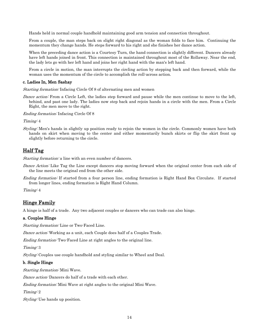Hands held in normal couple handhold maintaining good arm tension and connection throughout.

From a couple, the man steps back on slight right diagonal as the woman folds to face him. Continuing the momentum they change hands. He steps forward to his right and she finishes her dance action.

When the preceding dance action is a Courtesy Turn, the hand connection is slightly different. Dancers already have left hands joined in front. This connection is maintained throughout most of the Rollaway. Near the end, the lady lets go with her left hand and joins her right hand with the man's left hand.

From a circle in motion, the man interrupts the circling action by stepping back and then forward, while the woman uses the momentum of the circle to accomplish the roll-across action.

#### <span id="page-16-0"></span>c. Ladies In, Men Sashay

Starting formation: Infacing Circle Of 8 of alternating men and women

Dance action: From a Circle Left, the ladies step forward and pause while the men continue to move to the left, behind, and past one lady. The ladies now step back and rejoin hands in a circle with the men. From a Circle Right, the men move to the right.

Ending formation: Infacing Circle Of 8

Timing: 4

Styling: Men's hands in slightly up position ready to rejoin the women in the circle. Commonly women have both hands on skirt when moving to the center and either momentarily bunch skirts or flip the skirt front up slightly before returning to the circle.

## <span id="page-16-1"></span>Half Tag

Starting formation: a line with an even number of dancers.

- Dance Action: Like Tag the Line except dancers stop moving forward when the original center from each side of the line meets the original end from the other side.
- Ending formation: If started from a four person line, ending formation is Right Hand Box Circulate. If started from longer lines, ending formation is Right Hand Column.

<span id="page-16-2"></span>Timing: 4

## Hinge Family

A hinge is half of a trade. Any two adjacent couples or dancers who can trade can also hinge.

#### <span id="page-16-3"></span>a. Couples Hinge

Starting formation: Line or Two-Faced Line.

Dance action: Working as a unit, each Couple does half of a Couples Trade.

Ending formation: Two-Faced Line at right angles to the original line.

Timing: 3

Styling: Couples use couple handhold and styling similar to Wheel and Deal.

#### <span id="page-16-4"></span>b. Single Hinge

Starting formation: Mini Wave.

Dance action: Dancers do half of a trade with each other.

Ending formation: Mini Wave at right angles to the original Mini Wave.

Timing: 2

Styling: Use hands up position.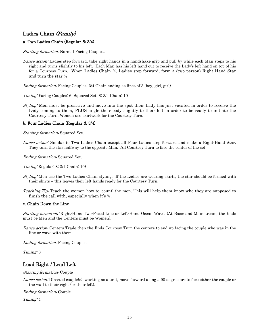# <span id="page-17-0"></span>Ladies Chain (Family)

## <span id="page-17-1"></span>a. Two Ladies Chain (Regular & 3/4)

Starting formation: Normal Facing Couples.

Dance action: Ladies step forward, take right hands in a handshake grip and pull by while each Man steps to his right and turns slightly to his left. Each Man has his left hand out to receive the Lady's left hand on top of his for a Courtesy Turn. When Ladies Chain ¾, Ladies step forward, form a (two person) Right Hand Star and turn the star ¾.

Ending formation: Facing Couples; 3/4 Chain ending as lines of 3 (boy, girl, girl).

Timing: Facing Couples: 6; Squared Set: 8; 3/4 Chain: 10

Styling: Men must be proactive and move into the spot their Lady has just vacated in order to receive the Lady coming to them, PLUS angle their body slightly to their left in order to be ready to initiate the Courtesy Turn. Women use skirtwork for the Courtesy Turn.

## <span id="page-17-2"></span>b. Four Ladies Chain (Regular & 3/4)

Starting formation: Squared Set.

Dance action: Similar to Two Ladies Chain except all Four Ladies step forward and make a Right-Hand Star. They turn the star halfway to the opposite Man. All Courtesy Turn to face the center of the set.

*Ending formation:* Squared Set.

Timing: Regular: 8; 3/4 Chain: 10)

- Styling: Men use the Two Ladies Chain styling. If the Ladies are wearing skirts, the star should be formed with their skirts – this leaves their left hands ready for the Courtesy Turn.
- Teaching Tip: Teach the women how to 'count' the men. This will help them know who they are supposed to finish the call with, especially when it's ¾.

#### <span id="page-17-3"></span>c. Chain Down the Line

Starting formation: Right-Hand Two-Faced Line or Left-Hand Ocean Wave. (At Basic and Mainstream, the Ends must be Men and the Centers must be Women).

Dance action: Centers Trade then the Ends Courtesy Turn the centers to end up facing the couple who was in the line or wave with them.

Ending formation: Facing Couples

<span id="page-17-4"></span>Timing: 8

## Lead Right / Lead Left

Starting formation: Couple

Dance action: Directed couple(s), working as a unit, move forward along a 90 degree arc to face either the couple or the wall to their right (or their left).

Ending formation: Couple

Timing: 4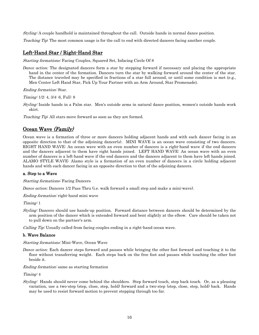Styling: A couple handhold is maintained throughout the call. Outside hands in normal dance position.

<span id="page-18-0"></span>Teaching Tip: The most common usage is for the call to end with directed dancers facing another couple.

## Left-Hand Star / Right-Hand Star

Starting formations: Facing Couples, Squared Set, Infacing Circle Of 8

*Dance action:* The designated dancers form a star by stepping forward if necessary and placing the appropriate hand in the center of the formation. Dancers turn the star by walking forward around the center of the star. The distance traveled may be specified in fractions of a star full around, or until some condition is met (e.g., Men Center Left Hand Star, Pick Up Your Partner with an Arm Around, Star Promenade).

Ending formation: Star.

Timing: 1/2: 4, 3/4: 6, Full: 8

Styling: Inside hands in a Palm star. Men's outside arms in natural dance position, women's outside hands work skirt.

<span id="page-18-1"></span>Teaching Tip: All stars move forward as soon as they are formed.

## Ocean Wave (Family)

Ocean wave is a formation of three or more dancers holding adjacent hands and with each dancer facing in an opposite direction to that of the adjoining dancer(s). MINI WAVE is an ocean wave consisting of two dancers. RIGHT HAND WAVE: An ocean wave with an even number of dancers is a right-hand wave if the end dancers and the dancers adjacent to them have right hands joined. LEFT HAND WAVE: An ocean wave with an even number of dancers is a left-hand wave if the end dancers and the dancers adjacent to them have left hands joined. ALAMO STYLE WAVE: Alamo style is a formation of an even number of dancers in a circle holding adjacent hands and with each dancer facing in an opposite direction to that of the adjoining dancers.

#### <span id="page-18-2"></span>a. Step to a Wave

Starting formations: Facing Dancers

*Dance action:* Dancers 1/2 Pass Thru (i.e. walk forward a small step and make a mini-wave).

Ending formation: right-hand mini wave

Timing: 1

Styling: Dancers should use hands-up position. Forward distance between dancers should be determined by the arm position of the dancer which is extended forward and bent slightly at the elbow. Care should be taken not to pull down on the partner's arm.

Calling Tip: Usually called from facing couples ending in a right-hand ocean wave.

#### <span id="page-18-3"></span>b. Wave Balance

Starting formations: Mini-Wave, Ocean Wave

*Dance action:* Each dancer steps forward and pauses while bringing the other foot forward and touching it to the floor without transferring weight. Each steps back on the free foot and pauses while touching the other foot beside it.

Ending formation: same as starting formation

Timing: 4

Styling: Hands should never come behind the shoulders. Step forward touch, step back touch. Or, as a pleasing variation, use a two-step (step, close, step, hold) forward and a two-step (step, close, step, hold) back. Hands may be used to resist forward motion to prevent stepping through too far.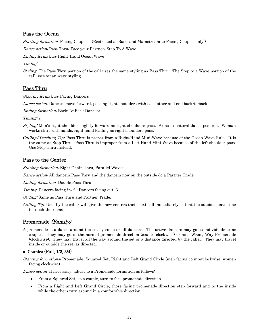## <span id="page-19-0"></span>Pass the Ocean

Starting formation: Facing Couples. (Restricted at Basic and Mainstream to Facing Couples only.)

Dance action: Pass Thru; Face your Partner; Step To A Wave

Ending formation: Right-Hand Ocean Wave

Timing: 4

Styling: The Pass Thru portion of the call uses the same styling as Pass Thru. The Step to a Wave portion of the call uses ocean wave styling.

## <span id="page-19-1"></span>Pass Thru

Starting formation: Facing Dancers

Dance action: Dancers move forward, passing right shoulders with each other and end back-to-back.

Ending formation: Back-To-Back Dancers

Timing: 2

- Styling: Man's right shoulder slightly forward as right shoulders pass. Arms in natural dance position. Woman works skirt with hands, right hand leading as right shoulders pass.
- *Calling/Teaching Tip:* Pass Thru is proper from a Right-Hand Mini-Wave because of the Ocean Wave Rule. It is the same as Step Thru. Pass Thru is improper from a Left-Hand Mini-Wave because of the left shoulder pass. Use Step Thru instead.

## <span id="page-19-2"></span>Pass to the Center

Starting formation: Eight Chain Thru, Parallel Waves.

Dance action: All dancers Pass Thru and the dancers now on the outside do a Partner Trade.

Ending formation: Double Pass Thru

Timing: Dancers facing in: 2. Dancers facing out: 6.

Styling: Same as Pass Thru and Partner Trade.

Calling Tip: Usually the caller will give the new centers their next call immediately so that the outsides have time to finish their trade.

# <span id="page-19-3"></span>Promenade (Family)

A promenade is a dance around the set by some or all dancers. The active dancers may go as individuals or as couples. They may go in the normal promenade direction (counterclockwise) or as a Wrong Way Promenade (clockwise). They may travel all the way around the set or a distance directed by the caller. They may travel inside or outside the set, as directed.

## <span id="page-19-4"></span>a. Couples (Full, 1/2, 3/4)

Starting formations: Promenade, Squared Set, Right and Left Grand Circle (men facing counterclockwise, women facing clockwise)

Dance action: If necessary, adjust to a Promenade formation as follows:

- From a Squared Set, as a couple, turn to face promenade direction.
- From a Right and Left Grand Circle, those facing promenade direction step forward and to the inside while the others turn around in a comfortable direction.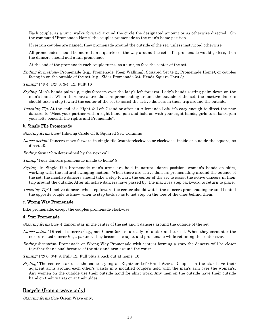Each couple, as a unit, walks forward around the circle the designated amount or as otherwise directed. On the command "Promenade Home" the couples promenade to the man's home position.

If certain couples are named, they promenade around the outside of the set, unless instructed otherwise.

All promenades should be more than a quarter of the way around the set. If a promenade would go less, then the dancers should add a full promenade.

At the end of the promenade each couple turns, as a unit, to face the center of the set.

Ending formations: Promenade (e.g., Promenade, Keep Walking), Squared Set (e.g., Promenade Home), or couples facing in on the outside of the set (e.g., Sides Promenade 3/4; Heads Square Thru 3).

Timing: 1/4: 4, 1/2: 8, 3/4: 12, Full: 16

- Styling: Men's hands palm up, right forearm over the lady's left forearm. Lady's hands resting palm down on the man's hands. When there are active dancers promenading around the outside of the set, the inactive dancers should take a step toward the center of the set to assist the active dancers in their trip around the outside.
- Teaching Tip: At the end of a Right & Left Grand or after an Allemande Left, it's easy enough to direct the new dancers to "Meet your partner with a right hand, join and hold on with your right hands, girls turn back, join your lefts beneath the rights and Promenade".

#### <span id="page-20-0"></span>b. Single File Promenade

Starting formations: Infacing Circle Of 8, Squared Set, Columns

Dance action: Dancers move forward in single file (counterclockwise or clockwise, inside or outside the square, as directed).

Ending formation: determined by the next call

Timing: Four dancers promenade inside to home: 8

- *Styling:* In Single File Promenade man's arms are held in natural dance position; woman's hands on skirt, working with the natural swinging motion. When there are active dancers promenading around the outside of the set, the inactive dancers should take a step toward the center of the set to assist the active dancers in their trip around the outside. After all active dancers have passed by, the inactives step backward to return to place.
- Teaching Tip: Inactive dancers who step toward the center should watch the dancers promenading around behind the opposite couple to know when to step back so as to not step on the toes of the ones behind them.

#### <span id="page-20-1"></span>c. Wrong Way Promenade

Like promenade, except the couples promenade clockwise.

#### <span id="page-20-2"></span>d. Star Promenade

Starting formation: 4-dancer star in the center of the set and 4 dancers around the outside of the set

- Dance action: Directed dancers (e.g., men) form (or are already in) a star and turn it. When they encounter the next directed dancer (e.g., partner) they become a couple, and promenade while retaining the center star.
- Ending formation: Promenade or Wrong Way Promenade with centers forming a star; the dancers will be closer together than usual because of the star and arm around the waist.

Timing: 1/2: 6, 3/4: 9, Full: 12, Full plus a back out at home: 16

Styling: The center star uses the same styling as Right- or Left-Hand Stars. Couples in the star have their adjacent arms around each other's waists in a modified couple's hold with the man's arm over the woman's. Any women on the outside use their outside hand for skirt work. Any men on the outside have their outside hand on their waists or at their sides.

## <span id="page-20-3"></span>Recycle (from a wave only)

Starting formation: Ocean Wave only.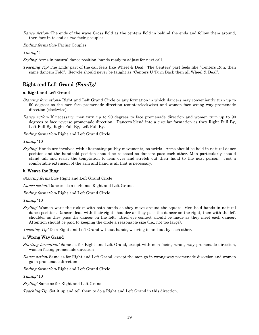Dance Action: The ends of the wave Cross Fold as the centers Fold in behind the ends and follow them around, then face in to end as two facing couples.

Ending formation: Facing Couples.

Timing: 4

Styling: Arms in natural dance position, hands ready to adjust for next call.

Teaching Tip: The Ends' part of the call feels like Wheel & Deal. The Centers' part feels like "Centers Run, then same dancers Fold". Recycle should never be taught as "Centers U-Turn Back then all Wheel & Deal".

# <span id="page-21-0"></span>Right and Left Grand (Family)

## <span id="page-21-1"></span>a. Right and Left Grand

- Starting formations: Right and Left Grand Circle or any formation in which dancers may conveniently turn up to 90 degrees so the men face promenade direction (counterclockwise) and women face wrong way promenade direction (clockwise).
- Dance action: If necessary, men turn up to 90 degrees to face promenade direction and women turn up to 90 degrees to face reverse promenade direction. Dancers blend into a circular formation as they Right Pull By, Left Pull By, Right Pull By, Left Pull By.

Ending formation: Right and Left Grand Circle

Timing: 10

Styling: Hands are involved with alternating pull-by movements, no twirls. Arms should be held in natural dance position and the handhold position should be released as dancers pass each other. Men particularly should stand tall and resist the temptation to lean over and stretch out their hand to the next person. Just a comfortable extension of the arm and hand is all that is necessary.

## <span id="page-21-2"></span>b. Weave the Ring

Starting formation: Right and Left Grand Circle

Dance action: Dancers do a no-hands Right and Left Grand.

Ending formation: Right and Left Grand Circle

Timing: 10

Styling: Women work their skirt with both hands as they move around the square. Men hold hands in natural dance position. Dancers lead with their right shoulder as they pass the dancer on the right, then with the left shoulder as they pass the dancer on the left. Brief eye contact should be made as they meet each dancer. Attention should be paid to keeping the circle a reasonable size (i.e., not too large).

Teaching Tip: Do a Right and Left Grand without hands, weaving in and out by each other.

#### <span id="page-21-3"></span>c. Wrong Way Grand

- Starting formation: Same as for Right and Left Grand, except with men facing wrong way promenade direction, women facing promenade direction
- Dance action: Same as for Right and Left Grand, except the men go in wrong way promenade direction and women go in promenade direction

Ending formation: Right and Left Grand Circle

Timing: 10

Styling: Same as for Right and Left Grand

Teaching Tip: Set it up and tell them to do a Right and Left Grand in this direction.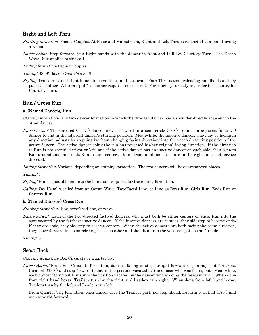## <span id="page-22-0"></span>Right and Left Thru

- Starting formation: Facing Couples. At Basic and Mainstream, Right and Left Thru is restricted to a man turning a woman.
- Dance action: Step forward, join Right hands with the dancer in front and Pull By; Courtesy Turn. The Ocean Wave Rule applies to this call.
- Ending formation: Facing Couples
- Timing: SS, 8: Box or Ocean Wave, 6
- Styling: Dancers extend right hands to each other, and perform a Pass Thru action, releasing handholds as they pass each other. A literal "pull" is neither required nor desired. For courtesy turn styling, refer to the entry for Courtesy Turn.

## <span id="page-22-1"></span>Run / Cross Run

#### <span id="page-22-2"></span>a. (Named Dancers) Run

- Starting formation: any two-dancer formation in which the directed dancer has a shoulder directly adjacent to the other dancer.
- Dance action: The directed (active) dancer moves forward in a semi-circle (180°) around an adjacent (inactive) dancer to end in the adjacent dancer's starting position. Meanwhile, the inactive dancer, who may be facing in any direction, adjusts by stepping (without changing facing direction) into the vacated starting position of the active dancer. The active dancer doing the run has reversed his/her original facing direction. If the direction to Run is not specified (right or left) and if the active dancer has an inactive dancer on each side, then centers Run around ends and ends Run around centers. Runs from an alamo circle are to the right unless otherwise directed.

Ending formation: Various, depending on starting formation. The two dancers will have exchanged places.

Timing: 4

Styling: Hands should blend into the handhold required for the ending formation.

Calling Tip: Usually called from an Ocean Wave, Two-Faced Line, or Line as Boys Run, Girls Run, Ends Run or Centers Run.

#### <span id="page-22-3"></span>b. (Named Dancers) Cross Run

Starting formation: line, two-faced line, or wave.

Dance action: Each of the two directed (active) dancers, who must both be either centers or ends, Run into the spot vacated by the farthest inactive dancer. If the inactive dancers are centers, they sidestep to become ends; if they are ends, they sidestep to become centers. When the active dancers are both facing the same direction, they move forward in a semi-circle, pass each other and then Run into the vacated spot on the far side.

<span id="page-22-4"></span>Timing: 6

## Scoot Back

Starting formation: Box Circulate or Quarter Tag.

Dance Action: From Box Circulate formation, dancers facing in step straight forward to join adjacent forearms, turn half (180°) and step forward to end in the position vacated by the dancer who was facing out. Meanwhile, each dancer facing out Runs into the position vacated by the dancer who is doing the forearm turn. When done from right hand boxes, Trailers turn by the right and Leaders run right. When done from left hand boxes, Trailers turn by the left and Leaders run left.

From Quarter Tag formation, each dancer does the Trailers part, i.e. step ahead, forearm turn half (180°) and step straight forward.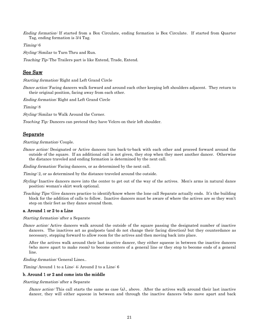Ending formation: If started from a Box Circulate, ending formation is Box Circulate. If started from Quarter Tag, ending formation is 3/4 Tag.

Timing: 6

Styling: Similar to Turn Thru and Run.

<span id="page-23-0"></span>Teaching Tip: The Trailers part is like Extend, Trade, Extend.

## See Saw

Starting formation: Right and Left Grand Circle

Dance action: Facing dancers walk forward and around each other keeping left shoulders adjacent. They return to their original position, facing away from each other.

Ending formation: Right and Left Grand Circle

Timing: 8

Styling: Similar to Walk Around the Corner.

<span id="page-23-1"></span>*Teaching Tip:* Dancers can pretend they have Velcro on their left shoulder.

## Separate

#### Starting formation: Couple.

Dance action: Designated or Active dancers turn back-to-back with each other and proceed forward around the outside of the square. If an additional call is not given, they stop when they meet another dancer. Otherwise the distance traveled and ending formation is determined by the next call.

*Ending formation:* Facing dancers, or as determined by the next call.

Timing: 2, or as determined by the distance traveled around the outside.

- Styling: Inactive dancers move into the center to get out of the way of the actives. Men's arms in natural dance position; woman's skirt work optional.
- Teaching Tips: Give dancers practice to identify/know where the lone call Separate actually ends. It's the building block for the addition of calls to follow. Inactive dancers must be aware of where the actives are so they won't step on their feet as they dance around them.

#### <span id="page-23-2"></span>a. Around 1 or 2 to a Line

#### Starting formation: after a Separate

Dance action: Active dancers walk around the outside of the square passing the designated number of inactive dancers. The inactives act as goalposts (and do not change their facing direction) but they counterdance as necessary, stepping forward to allow room for the actives and then moving back into place.

After the actives walk around their last inactive dancer, they either squeeze in between the inactive dancers (who move apart to make room) to become centers of a general line or they stop to become ends of a general line.

Ending formation: General Lines..

Timing: Around 1 to a Line: 4; Around 2 to a Line: 6

#### <span id="page-23-3"></span>b. Around 1 or 2 and come into the middle

Starting formation: after a Separate

Dance action: This call starts the same as case (a), above. After the actives walk around their last inactive dancer, they will either squeeze in between and through the inactive dancers (who move apart and back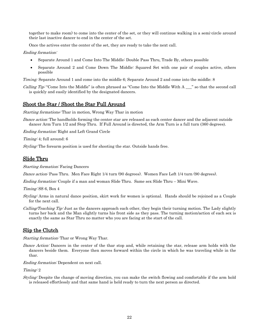together to make room) to come into the center of the set, or they will continue walking in a semi-circle around their last inactive dancer to end in the center of the set.

Once the actives enter the center of the set, they are ready to take the next call.

#### Ending formation:

- Separate Around 1 and Come Into The Middle: Double Pass Thru, Trade By, others possible
- Separate Around 2 and Come Down The Middle: Squared Set with one pair of couples active, others possible

*Timing:* Separate Around 1 and come into the middle 6; Separate Around 2 and come into the middle: 8

*Calling Tip*: "Come Into the Middle" is often phrased as "Come Into the Middle With  $A \_$ " so that the second call is quickly and easily identified by the designated dancers.

## <span id="page-24-0"></span>Shoot the Star / Shoot the Star Full Around

<span id="page-24-1"></span>Starting formations: Thar in motion, Wrong Way Thar in motion

Dance action: The handholds forming the center star are released as each center dancer and the adjacent outside dancer Arm Turn 1/2 and Step Thru. If Full Around is directed, the Arm Turn is a full turn (360 degrees).

Ending formation: Right and Left Grand Circle

Timing: 4; full around: 6

Styling: The forearm position is used for shooting the star. Outside hands free.

## Slide Thru

Starting formation: Facing Dancers

Dance action: Pass Thru. Men Face Right 1/4 turn (90 degrees). Women Face Left 1/4 turn (90 degrees).

Ending formation: Couple if a man and woman Slide Thru. Same sex Slide Thru – Mini Wave.

Timing: SS 6, Box 4

- Styling: Arms in natural dance position, skirt work for women is optional. Hands should be rejoined as a Couple for the next call.
- Calling/Teaching Tip: Just as the dancers approach each other, they begin their turning motion. The Lady slightly turns her back and the Man slightly turns his front side as they pass. The turning motion/action of each sex is exactly the same as Star Thru no matter who you are facing at the start of the call.

## <span id="page-24-2"></span>Slip the Clutch

Starting formation: Thar or Wrong Way Thar.

Dance Action: Dancers in the center of the thar stop and, while retaining the star, release arm holds with the dancers beside them. Everyone then moves forward within the circle in which he was traveling while in the thar.

Ending formation: Dependent on next call.

Timing: 2

Styling: Despite the change of moving direction, you can make the switch flowing and comfortable if the arm hold is released effortlessly and that same hand is held ready to turn the next person as directed.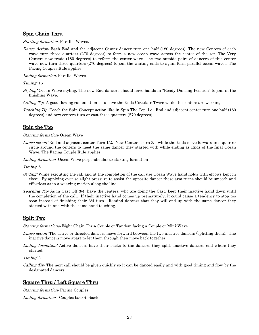## <span id="page-25-0"></span>Spin Chain Thru

Starting formation: Parallel Waves.

Dance Action: Each End and the adjacent Center dancer turn one half (180 degrees). The new Centers of each wave turn three quarters (270 degrees) to form a new ocean wave across the center of the set. The Very Centers now trade (180 degrees) to reform the center wave. The two outside pairs of dancers of this center wave now turn three quarters (270 degrees) to join the waiting ends to again form parallel ocean waves. The Facing Couples Rule applies.

Ending formation: Parallel Waves.

Timing: 16

Styling: Ocean Wave styling. The new End dancers should have hands in "Ready Dancing Position" to join in the finishing Wave.

Calling Tip: A good flowing combination is to have the Ends Circulate Twice while the centers are working.

Teaching Tip: Teach the Spin Concept action like in Spin The Top, i.e.: End and adjacent center turn one half (180) degrees) and new centers turn or cast three quarters (270 degrees).

## <span id="page-25-1"></span>Spin the Top

#### Starting formation: Ocean Wave

Dance action: End and adjacent center Turn 1/2. New Centers Turn 3/4 while the Ends move forward in a quarter circle around the centers to meet the same dancer they started with while ending as Ends of the final Ocean Wave. The Facing Couple Rule applies.

Ending formation: Ocean Wave perpendicular to starting formation

Timing: 8

- Styling: While executing the call and at the completion of the call use Ocean Wave hand holds with elbows kept in close. By applying ever so slight pressure to assist the opposite dancer these arm turns should be smooth and effortless as in a weaving motion along the line.
- Teaching Tip: As in Cast Off 3/4, have the centers, who are doing the Cast, keep their inactive hand down until the completion of the call. If their inactive hand comes up prematurely, it could cause a tendency to stop too soon instead of finishing their 3/4 turn. Remind dancers that they will end up with the same dancer they started with and with the same hand touching.

## <span id="page-25-2"></span>Split Two

Starting formations: Eight Chain Thru; Couple or Tandem facing a Couple or Mini-Wave

- Dance action: The active or directed dancers move forward between the two inactive dancers (splitting them). The inactive dancers move apart to let them through then move back together.
- Ending formation: Active dancers have their backs to the dancers they split. Inactive dancers end where they started.

Timing: 2

Calling Tip: The next call should be given quickly so it can be danced easily and with good timing and flow by the designated dancers.

## <span id="page-25-3"></span>Square Thru / Left Square Thru

Starting formation: Facing Couples.

Ending formation: Couples back-to-back.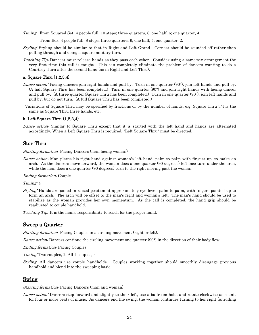Timing: From Squared Set, 4 people full: 10 steps; three quarters, 8; one half, 6; one quarter, 4

From Box: 4 people full: 8 steps; three quarters, 6; one half, 4; one quarter, 2.

- Styling: Styling should be similar to that in Right and Left Grand. Corners should be rounded off rather than pulling through and doing a square military turn.
- Teaching Tip: Dancers must release hands as they pass each other. Consider using a same-sex arrangement the very first time this call is taught. This can completely eliminate the problem of dancers wanting to do a Courtesy Turn after the second hand (as in Right and Left Thru).

## <span id="page-26-0"></span>a. Square Thru (1,2,3,4)

- Dance action: Facing dancers join right hands and pull by. Turn in one quarter (90°), join left hands and pull by. (A half Square Thru has been completed.) Turn in one quarter (90°) and join right hands with facing dancer and pull by. (A three quarter Square Thru has been completed.) Turn in one quarter (90°), join left hands and pull by, but do not turn. (A full Square Thru has been completed.)
- Variations of Square Thru may be specified by fractions or by the number of hands, e.g. Square Thru 3/4 is the same as Square Thru three hands, etc.

## <span id="page-26-1"></span>b. Left Square Thru (1,2,3,4)

Dance action: Similar to Square Thru except that it is started with the left hand and hands are alternated accordingly. When a Left Square Thru is required, "Left Square Thru" must be directed.

## <span id="page-26-2"></span>Star Thru

Starting formation: Facing Dancers (man facing woman)

Dance action: Man places his right hand against woman's left hand, palm to palm with fingers up, to make an arch. As the dancers move forward, the woman does a one quarter (90 degrees) left face turn under the arch, while the man does a one quarter (90 degrees) turn to the right moving past the woman.

#### Ending formation: Couple

Timing: 4

Styling: Hands are joined in raised position at approximately eye level, palm to palm, with fingers pointed up to form an arch. The arch will be offset to the man's right and woman's left. The man's hand should be used to stabilize as the woman provides her own momentum. As the call is completed, the hand grip should be readjusted to couple handhold.

<span id="page-26-3"></span>*Teaching Tip:* It is the man's responsibility to reach for the proper hand.

## Sweep a Quarter

Starting formation: Facing Couples in a circling movement (right or left).

Dance action: Dancers continue the circling movement one quarter (90°) in the direction of their body flow.

- Ending formation: Facing Couples
- Timing: Two couples, 2; All 4 couples, 4
- Styling: All dancers use couple handholds. Couples working together should smoothly disengage previous handhold and blend into the sweeping basic.

#### <span id="page-26-4"></span>Swing

#### Starting formation: Facing Dancers (man and woman)

Dance action: Dancers step forward and slightly to their left, use a ballroom hold, and rotate clockwise as a unit for four or more beats of music. As dancers end the swing, the woman continues turning to her right (unrolling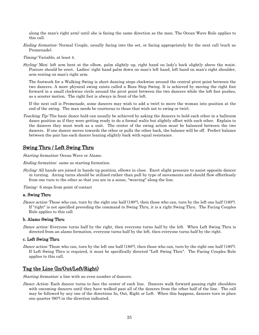along the man's right arm) until she is facing the same direction as the man. The Ocean Wave Rule applies to this call.

Ending formation: Normal Couple, usually facing into the set, or facing appropriately for the next call (such as Promenade).

Timing: Variable, at least 4.

Styling: Men: left arm bent at the elbow, palm slightly up, right hand on lady's back slightly above the waist. Posture should be erect. Ladies: right hand palm down on man's left hand, left hand on man's right shoulder, arm resting on man's right arm.

The footwork for a Walking Swing is short dancing steps clockwise around the central pivot point between the two dancers. A more physical swing exists called a Buzz Step Swing. It is achieved by moving the right foot forward in a small clockwise circle around the pivot point between the two dancers while the left foot pushes, as a scooter motion. The right foot is always in front of the left.

If the next call is Promenade, some dancers may wish to add a twirl to move the woman into position at the end of the swing. The man needs be courteous to those that wish not to swing or twirl.

Teaching Tip: The basic dance hold can usually be achieved by asking the dancers to hold each other in a ballroom dance position as if they were getting ready to do a formal waltz but slightly offset with each other. Explain to the dancers they must work as a unit. The center of the swing action must be balanced between the two dancers. If one dancer moves towards the other or pulls the other back, the balance will be off. Perfect balance between the pair has each dancer leaning slightly back with equal resistance.

# <span id="page-27-0"></span>Swing Thru / Left Swing Thru

Starting formation: Ocean Wave or Alamo.

Ending formation: same as starting formation.

Styling: All hands are joined in hands-up position, elbows in close. Exert slight pressure to assist opposite dancer in turning. Arcing turns should be utilized rather than pull by type of movements and should flow effortlessly from one turn to the other so that you are in a sense, "weaving" along the line.

Timing: 6 steps from point of contact

#### <span id="page-27-1"></span>a. Swing Thru

Dance action: Those who can, turn by the right one half (180°), then those who can, turn by the left one half (180°). If "right" is not specified preceding the command to Swing Thru, it is a right Swing Thru. The Facing Couples Rule applies to this call.

#### <span id="page-27-2"></span>b. Alamo Swing Thru

Dance action: Everyone turns half by the right, then everyone turns half by the left. When Left Swing Thru is directed from an alamo formation, everyone turns half by the left, then everyone turns half by the right.

#### <span id="page-27-3"></span>c. Left Swing Thru

Dance action: Those who can, turn by the left one half  $(180^{\circ})$ , then those who can, turn by the right one half  $(180^{\circ})$ . If Left Swing Thru is required, it must be specifically directed "Left Swing Thru". The Facing Couples Rule applies to this call.

## <span id="page-27-4"></span>Tag the Line (In/Out/Left/Right)

Starting formation: a line with an even number of dancers.

Dance Action: Each dancer turns to face the center of each line. Dancers walk forward passing right shoulders with oncoming dancers until they have walked past all of the dancers from the other half of the line. The call may be followed by any one of the directions In, Out, Right or Left. When this happens, dancers turn in place one quarter (90°) in the direction indicated.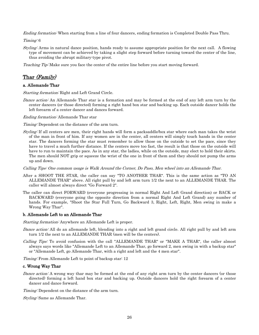*Ending formation:* When starting from a line of four dancers, ending formation is Completed Double Pass Thru.

Timing: 6

Styling: Arms in natural dance position, hands ready to assume appropriate position for the next call. A flowing type of movement can be achieved by taking a slight step forward before turning toward the center of the line, thus avoiding the abrupt military-type pivot.

<span id="page-28-0"></span>Teaching Tip: Make sure you face the center of the entire line before you start moving forward.

# Thar (Family)

## <span id="page-28-1"></span>a. Allemande Thar

Starting formation: Right and Left Grand Circle.

Dance action: An Allemande Thar star is a formation and may be formed at the end of any left arm turn by the center dancers (or those directed) forming a right hand box star and backing up. Each outside dancer holds the left forearm of a center dancer and dances forward.

Ending formation: Allemande Thar star

Timing: Dependent on the distance of the arm turn.

Styling: If all centers are men, their right hands will form a packsaddle/box star where each man takes the wrist of the man in front of him. If any women are in the center, all centers will simply touch hands in the center star. The dancers forming the star must remember to allow those on the outside to set the pace, since they have to travel a much further distance. If the centers move too fast, the result is that those on the outside will have to run to maintain the pace. As in any star, the ladies, while on the outside, may elect to hold their skirts. The men should NOT grip or squeeze the wrist of the one in front of them and they should not pump the arms up and down.

Calling Tips: One common usage is Walk Around the Corner, Do Paso, Men wheel into an Allemande Thar.

- After a SHOOT THE STAR, the caller can say "TO ANOTHER THAR". This is the same action as "TO AN ALLEMANDE THAR" above. All right pull by and left arm turn 1/2 the next to an ALLEMANDE THAR. The caller will almost always direct "Go Forward 2".
- The caller can direct FORWARD (everyone progressing in normal Right And Left Grand direction) or BACK or BACKWARD (everyone going the opposite direction from a normal Right And Left Grand) any number of hands. For example, "Shoot the Star Full Turn, Go Backward 3, Right, Left, Right, Men swing in make a Wrong Way Thar".

#### <span id="page-28-2"></span>b. Allemande Left to an Allemande Thar

Starting formation: Anywhere an Allemande Left is proper.

- Dance action: All do an allemande left, blending into a right and left grand circle. All right pull by and left arm turn 1/2 the next to an ALLEMANDE THAR (men will be the centers).
- Calling Tips: To avoid confusion with the call "ALLEMANDE THAR" or "MAKE A THAR", the caller almost always says words like "Allemande Left to an Allemande Thar, go forward 2, men swing in with a backup star" or "Allemande Left, go Allemande Thar, with a right and left and the 4 men star".

Timing: From Allemande Left to point of backup star: 12

#### <span id="page-28-3"></span>c. Wrong Way Thar

Dance action: A wrong way thar may be formed at the end of any right arm turn by the center dancers (or those directed) forming a left hand box star and backing up. Outside dancers hold the right forearm of a center dancer and dance forward.

Timing: Dependent on the distance of the arm turn.

Styling: Same as Allemande Thar.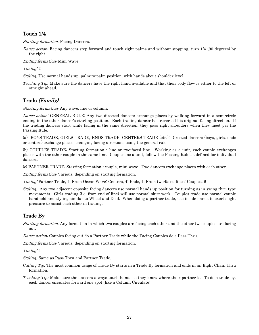# <span id="page-29-0"></span>Touch 1/4

Starting formation: Facing Dancers.

Dance action: Facing dancers step forward and touch right palms and without stopping, turn 1/4 (90 degrees) by the right.

Ending formation: Mini-Wave

Timing: 2

*Styling:* Use normal hands-up, palm-to-palm position, with hands about shoulder level.

*Teaching Tip:* Make sure the dancers have the right hand available and that their body flow is either to the left or straight ahead.

# <span id="page-29-1"></span>Trade (Family)

Starting formation: Any wave, line or column.

Dance action: GENERAL RULE: Any two directed dancers exchange places by walking forward in a semi-circle ending in the other dancer's starting position. Each trading dancer has reversed his original facing direction. If the trading dancers start while facing in the same direction, they pass right shoulders when they meet per the Passing Rule.

(a) BOYS TRADE, GIRLS TRADE, ENDS TRADE, CENTERS TRADE (etc.): Directed dancers (boys, girls, ends or centers) exchange places, changing facing directions using the general rule.

(b) COUPLES TRADE: Starting formation - line or two-faced line. Working as a unit, each couple exchanges places with the other couple in the same line. Couples, as a unit, follow the Passing Rule as defined for individual dancers.

(c) PARTNER TRADE: Starting formation - couple, mini wave. Two dancers exchange places with each other.

Ending formation: Various, depending on starting formation.

Timing: Partner Trade, 4; From Ocean Wave: Centers, 4; Ends, 4; From two-faced lines: Couples, 6

*Styling:* Any two adjacent opposite facing dancers use normal hands up position for turning as in swing thru type movements. Girls trading (i.e. from end of line) will use normal skirt work. Couples trade use normal couple handhold and styling similar to Wheel and Deal. When doing a partner trade, use inside hands to exert slight pressure to assist each other in trading.

# <span id="page-29-2"></span>Trade By

Starting formation: Any formation in which two couples are facing each other and the other two couples are facing out.

Dance action: Couples facing out do a Partner Trade while the Facing Couples do a Pass Thru.

Ending formation: Various, depending on starting formation.

Timing: 4

*Styling:* Same as Pass Thru and Partner Trade.

- *Calling Tip:* The most common usage of Trade By starts in a Trade By formation and ends in an Eight Chain Thru formation.
- *Teaching Tip:* Make sure the dancers always touch hands so they know where their partner is. To do a trade by, each dancer circulates forward one spot (like a Column Circulate).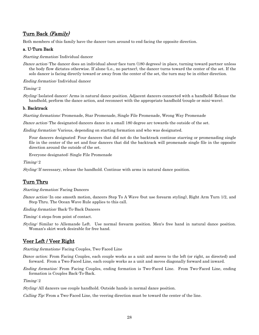# <span id="page-30-0"></span>Turn Back (Family)

Both members of this family have the dancer turn around to end facing the opposite direction.

## <span id="page-30-1"></span>a. U-Turn Back

Starting formation: Individual dancer

Dance action: The dancer does an individual about-face turn (180 degrees) in place, turning toward partner unless the body flow dictates otherwise. If alone (i.e., no partner), the dancer turns toward the center of the set. If the solo dancer is facing directly toward or away from the center of the set, the turn may be in either direction.

Ending formation: Individual dancer

Timing: 2

Styling: Isolated dancer: Arms in natural dance position. Adjacent dancers connected with a handhold: Release the handhold, perform the dance action, and reconnect with the appropriate handhold (couple or mini-wave).

## <span id="page-30-2"></span>b. Backtrack

Starting formations: Promenade, Star Promenade, Single File Promenade, Wrong Way Promenade

Dance action: The designated dancers dance in a small 180 degree arc towards the outside of the set.

Ending formation: Various, depending on starting formation and who was designated.

Four dancers designated: Four dancers that did not do the backtrack continue starring or promenading single file in the center of the set and four dancers that did the backtrack will promenade single file in the opposite direction around the outside of the set.

Everyone designated: Single File Promenade

Timing: 2

<span id="page-30-3"></span>Styling: If necessary, release the handhold. Continue with arms in natural dance position.

## Turn Thru

Starting formation: Facing Dancers

Dance action: In one smooth motion, dancers Step To A Wave (but use forearm styling), Right Arm Turn 1/2, and Step Thru. The Ocean Wave Rule applies to this call.

Ending formation: Back-To-Back Dancers

Timing: 4 steps from point of contact.

Styling: Similar to Allemande Left. Use normal forearm position. Men's free hand in natural dance position. Woman's skirt work desirable for free hand.

## <span id="page-30-4"></span>Veer Left / Veer Right

Starting formations: Facing Couples, Two-Faced Line

- *Dance action:* From Facing Couples, each couple works as a unit and moves to the left (or right, as directed) and forward. From a Two-Faced Line, each couple works as a unit and moves diagonally forward and inward.
- *Ending formation:* From Facing Couples, ending formation is Two-Faced Line. From Two-Faced Line, ending formation is Couples Back-To-Back.

Timing: 2

Styling: All dancers use couple handhold. Outside hands in normal dance position.

Calling Tip: From a Two-Faced Line, the veering direction must be toward the center of the line.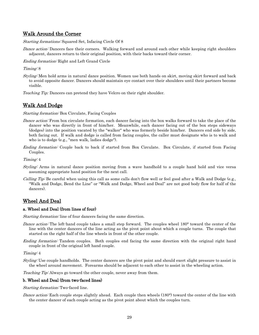## <span id="page-31-0"></span>Walk Around the Corner

Starting formations: Squared Set, Infacing Circle Of 8

Dance action: Dancers face their corners. Walking forward and around each other while keeping right shoulders adjacent, dancers return to their original position, with their backs toward their corner.

Ending formation: Right and Left Grand Circle

Timing: 8

Styling: Men hold arms in natural dance position. Women use both hands on skirt, moving skirt forward and back to avoid opposite dancer. Dancers should maintain eye contact over their shoulders until their partners become visible.

<span id="page-31-1"></span>*Teaching Tip:* Dancers can pretend they have Velcro on their right shoulder.

# Walk And Dodge

Starting formation: Box Circulate, Facing Couples

- Dance action: From box circulate formation, each dancer facing into the box walks forward to take the place of the dancer who was directly in front of him/her. Meanwhile, each dancer facing out of the box steps sideways (dodges) into the position vacated by the "walker" who was formerly beside him/her. Dancers end side by side, both facing out. If walk and dodge is called from facing couples, the caller must designate who is to walk and who is to dodge (e.g., "men walk, ladies dodge").
- Ending formation: Couple back to back if started from Box Circulate. Box Circulate, if started from Facing Couples.

Timing: 4

- Styling: Arms in natural dance position moving from a wave handhold to a couple hand hold and vice versa assuming appropriate hand position for the next call.
- Calling Tip: Be careful when using this call as some calls don't flow well or feel good after a Walk and Dodge (e.g., "Walk and Dodge, Bend the Line" or "Walk and Dodge, Wheel and Deal" are not good body flow for half of the dancers).

## <span id="page-31-2"></span>Wheel And Deal

#### <span id="page-31-3"></span>a. Wheel and Deal (from lines of four)

Starting formation: line of four dancers facing the same direction.

- Dance action: The left-hand couple takes a small step forward. The couples wheel 180° toward the center of the line with the center dancers of the line acting as the pivot point about which a couple turns. The couple that started on the right half of the line wheels in front of the other couple.
- *Ending formation:* Tandem couples. Both couples end facing the same direction with the original right hand couple in front of the original left hand couple.

Timing: 4

Styling: Use couple handholds. The center dancers are the pivot point and should exert slight pressure to assist in the wheel around movement. Forearms should be adjacent to each other to assist in the wheeling action.

Teaching Tip: Always go toward the other couple, never away from them.

#### <span id="page-31-4"></span>b. Wheel and Deal (from two-faced lines)

Starting formation: Two-faced line.

Dance action: Each couple steps slightly ahead. Each couple then wheels (180°) toward the center of the line with the center dancer of each couple acting as the pivot point about which the couples turn.